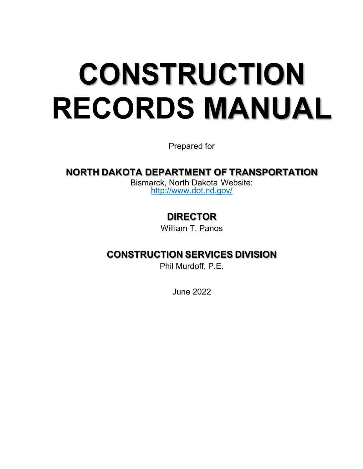# **CONSTRUCTION RECORDS MANUAL**

Prepared for

### **NORTH DAKOTA DEPARTMENT OF TRANSPORTATION**

Bismarck, North Dakota Website: <http://www.dot.nd.gov/>

## **DIRECTOR**

William T. Panos

#### **CONSTRUCTION SERVICES DIVISION**

Phil Murdoff, P.E.

June 2022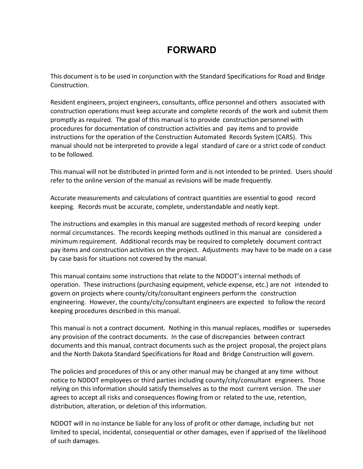#### **FORWARD**

This document is to be used in conjunction with the Standard Specifications for Road and Bridge Construction.

Resident engineers, project engineers, consultants, office personnel and others associated with construction operations must keep accurate and complete records of the work and submit them promptly as required. The goal of this manual is to provide construction personnel with procedures for documentation of construction activities and pay items and to provide instructions for the operation of the Construction Automated Records System (CARS). This manual should not be interpreted to provide a legal standard of care or a strict code of conduct to be followed.

This manual will not be distributed in printed form and is not intended to be printed. Users should refer to the online version of the manual as revisions will be made frequently.

Accurate measurements and calculations of contract quantities are essential to good record keeping. Records must be accurate, complete, understandable and neatly kept.

The instructions and examples in this manual are suggested methods of record keeping under normal circumstances. The records keeping methods outlined in this manual are considered a minimum requirement. Additional records may be required to completely document contract pay items and construction activities on the project. Adjustments may have to be made on a case by case basis for situations not covered by the manual.

This manual contains some instructions that relate to the NDDOT's internal methods of operation. These instructions (purchasing equipment, vehicle expense, etc.) are not intended to govern on projects where county/city/consultant engineers perform the construction engineering. However, the county/city/consultant engineers are expected to follow the record keeping procedures described in this manual.

This manual is not a contract document. Nothing in this manual replaces, modifies or supersedes any provision of the contract documents. In the case of discrepancies between contract documents and this manual, contract documents such as the project proposal, the project plans and the North Dakota Standard Specifications for Road and Bridge Construction will govern.

The policies and procedures of this or any other manual may be changed at any time without notice to NDDOT employees or third parties including county/city/consultant engineers. Those relying on this information should satisfy themselves as to the most current version. The user agrees to accept all risks and consequences flowing from or related to the use, retention, distribution, alteration, or deletion of this information.

NDDOT will in no instance be liable for any loss of profit or other damage, including but not limited to special, incidental, consequential or other damages, even if apprised of the likelihood of such damages.